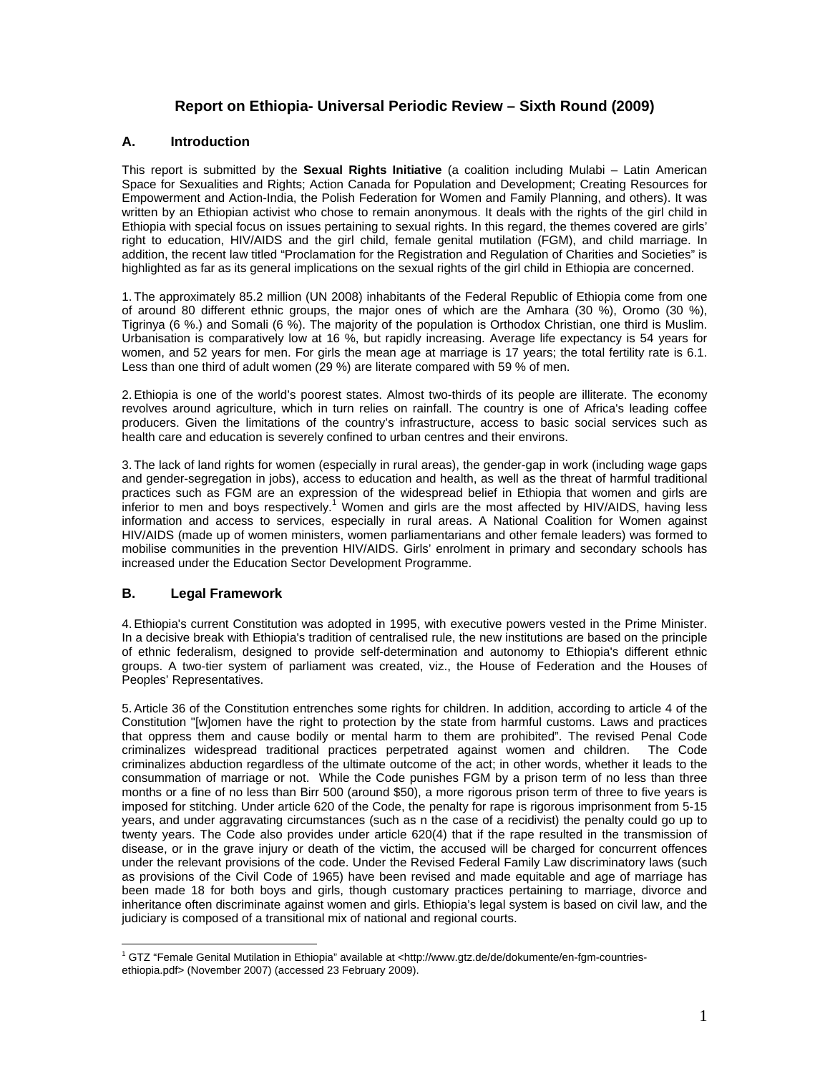## **Report on Ethiopia- Universal Periodic Review – Sixth Round (2009)**

#### **A. Introduction**

This report is submitted by the **Sexual Rights Initiative** (a coalition including Mulabi – Latin American Space for Sexualities and Rights; Action Canada for Population and Development; Creating Resources for Empowerment and Action-India, the Polish Federation for Women and Family Planning, and others). It was written by an Ethiopian activist who chose to remain anonymous. It deals with the rights of the girl child in Ethiopia with special focus on issues pertaining to sexual rights. In this regard, the themes covered are girls' right to education, HIV/AIDS and the girl child, female genital mutilation (FGM), and child marriage. In addition, the recent law titled "Proclamation for the Registration and Regulation of Charities and Societies" is highlighted as far as its general implications on the sexual rights of the girl child in Ethiopia are concerned.

1. The approximately 85.2 million (UN 2008) inhabitants of the Federal Republic of Ethiopia come from one of around 80 different ethnic groups, the major ones of which are the Amhara (30 %), Oromo (30 %), Tigrinya (6 %.) and Somali (6 %). The majority of the population is Orthodox Christian, one third is Muslim. Urbanisation is comparatively low at 16 %, but rapidly increasing. Average life expectancy is 54 years for women, and 52 years for men. For girls the mean age at marriage is 17 years; the total fertility rate is 6.1. Less than one third of adult women (29 %) are literate compared with 59 % of men.

2. Ethiopia is one of the world's poorest states. Almost two-thirds of its people are illiterate. The economy revolves around agriculture, which in turn relies on rainfall. The country is one of Africa's leading coffee producers. Given the limitations of the country's infrastructure, access to basic social services such as health care and education is severely confined to urban centres and their environs.

3. The lack of land rights for women (especially in rural areas), the gender-gap in work (including wage gaps and gender-segregation in jobs), access to education and health, as well as the threat of harmful traditional practices such as FGM are an expression of the widespread belief in Ethiopia that women and girls are .<br>inferior to men and boys respectively.<sup>1</sup> Women and girls are the most affected by HIV/AIDS, having less information and access to services, especially in rural areas. A National Coalition for Women against HIV/AIDS (made up of women ministers, women parliamentarians and other female leaders) was formed to mobilise communities in the prevention HIV/AIDS. Girls' enrolment in primary and secondary schools has increased under the Education Sector Development Programme.

## **B. Legal Framework**

4. Ethiopia's current Constitution was adopted in 1995, with executive powers vested in the Prime Minister. In a decisive break with Ethiopia's tradition of centralised rule, the new institutions are based on the principle of ethnic federalism, designed to provide self-determination and autonomy to Ethiopia's different ethnic groups. A two-tier system of parliament was created, viz., the House of Federation and the Houses of Peoples' Representatives.

5. Article 36 of the Constitution entrenches some rights for children. In addition, according to article 4 of the Constitution "[w]omen have the right to protection by the state from harmful customs. Laws and practices that oppress them and cause bodily or mental harm to them are prohibited". The revised Penal Code criminalizes widespread traditional practices perpetrated against women and children. The Code criminalizes abduction regardless of the ultimate outcome of the act; in other words, whether it leads to the consummation of marriage or not. While the Code punishes FGM by a prison term of no less than three months or a fine of no less than Birr 500 (around \$50), a more rigorous prison term of three to five years is imposed for stitching. Under article 620 of the Code, the penalty for rape is rigorous imprisonment from 5-15 years, and under aggravating circumstances (such as n the case of a recidivist) the penalty could go up to twenty years. The Code also provides under article 620(4) that if the rape resulted in the transmission of disease, or in the grave injury or death of the victim, the accused will be charged for concurrent offences under the relevant provisions of the code. Under the Revised Federal Family Law discriminatory laws (such as provisions of the Civil Code of 1965) have been revised and made equitable and age of marriage has been made 18 for both boys and girls, though customary practices pertaining to marriage, divorce and inheritance often discriminate against women and girls. Ethiopia's legal system is based on civil law, and the judiciary is composed of a transitional mix of national and regional courts.

 1 GTZ "Female Genital Mutilation in Ethiopia" available at <http://www.gtz.de/de/dokumente/en-fgm-countriesethiopia.pdf> (November 2007) (accessed 23 February 2009).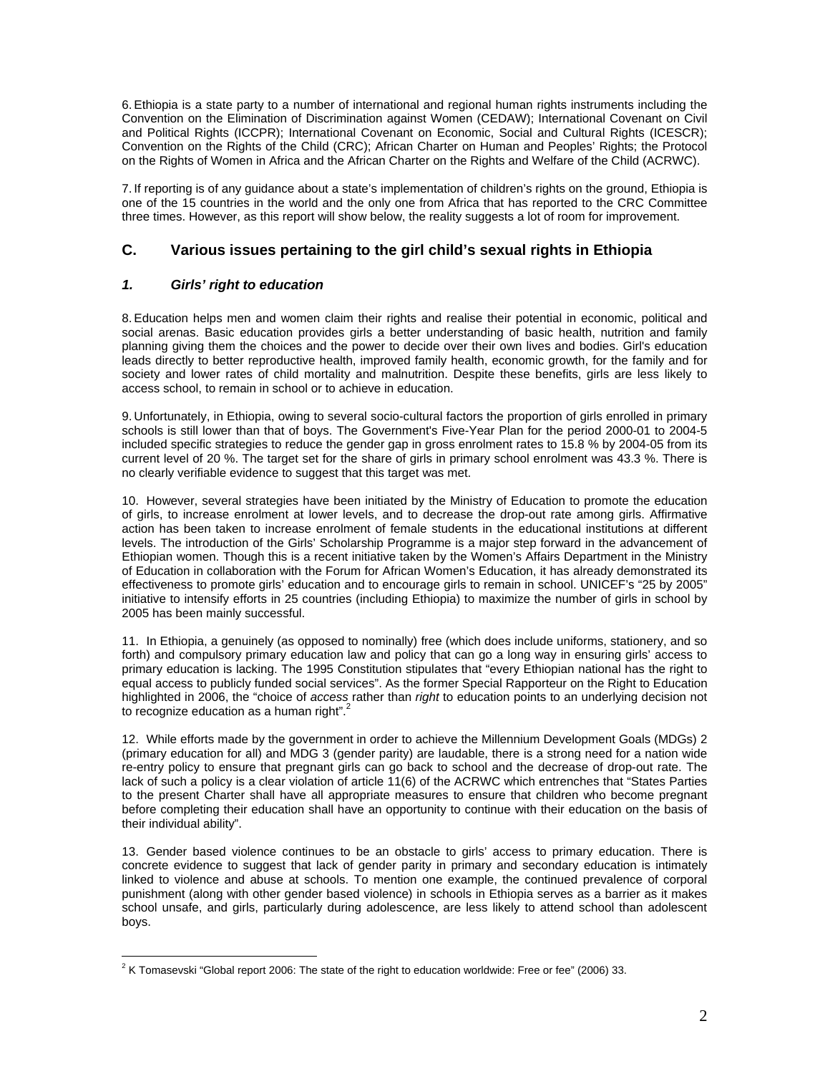6. Ethiopia is a state party to a number of international and regional human rights instruments including the Convention on the Elimination of Discrimination against Women (CEDAW); International Covenant on Civil and Political Rights (ICCPR); International Covenant on Economic, Social and Cultural Rights (ICESCR); Convention on the Rights of the Child (CRC); African Charter on Human and Peoples' Rights; the Protocol on the Rights of Women in Africa and the African Charter on the Rights and Welfare of the Child (ACRWC).

7. If reporting is of any guidance about a state's implementation of children's rights on the ground, Ethiopia is one of the 15 countries in the world and the only one from Africa that has reported to the CRC Committee three times. However, as this report will show below, the reality suggests a lot of room for improvement.

# **C. Various issues pertaining to the girl child's sexual rights in Ethiopia**

### *1. Girls' right to education*

8. Education helps men and women claim their rights and realise their potential in economic, political and social arenas. Basic education provides girls a better understanding of basic health, nutrition and family planning giving them the choices and the power to decide over their own lives and bodies. Girl's education leads directly to better reproductive health, improved family health, economic growth, for the family and for society and lower rates of child mortality and malnutrition. Despite these benefits, girls are less likely to access school, to remain in school or to achieve in education.

9. Unfortunately, in Ethiopia, owing to several socio-cultural factors the proportion of girls enrolled in primary schools is still lower than that of boys. The Government's Five-Year Plan for the period 2000-01 to 2004-5 included specific strategies to reduce the gender gap in gross enrolment rates to 15.8 % by 2004-05 from its current level of 20 %. The target set for the share of girls in primary school enrolment was 43.3 %. There is no clearly verifiable evidence to suggest that this target was met.

10. However, several strategies have been initiated by the Ministry of Education to promote the education of girls, to increase enrolment at lower levels, and to decrease the drop-out rate among girls. Affirmative action has been taken to increase enrolment of female students in the educational institutions at different levels. The introduction of the Girls' Scholarship Programme is a major step forward in the advancement of Ethiopian women. Though this is a recent initiative taken by the Women's Affairs Department in the Ministry of Education in collaboration with the Forum for African Women's Education, it has already demonstrated its effectiveness to promote girls' education and to encourage girls to remain in school. UNICEF's "25 by 2005" initiative to intensify efforts in 25 countries (including Ethiopia) to maximize the number of girls in school by 2005 has been mainly successful.

11. In Ethiopia, a genuinely (as opposed to nominally) free (which does include uniforms, stationery, and so forth) and compulsory primary education law and policy that can go a long way in ensuring girls' access to primary education is lacking. The 1995 Constitution stipulates that "every Ethiopian national has the right to equal access to publicly funded social services". As the former Special Rapporteur on the Right to Education highlighted in 2006, the "choice of *access* rather than *right* to education points to an underlying decision not to recognize education as a human right". $2^2$ 

12. While efforts made by the government in order to achieve the Millennium Development Goals (MDGs) 2 (primary education for all) and MDG 3 (gender parity) are laudable, there is a strong need for a nation wide re-entry policy to ensure that pregnant girls can go back to school and the decrease of drop-out rate. The lack of such a policy is a clear violation of article 11(6) of the ACRWC which entrenches that "States Parties to the present Charter shall have all appropriate measures to ensure that children who become pregnant before completing their education shall have an opportunity to continue with their education on the basis of their individual ability".

13. Gender based violence continues to be an obstacle to girls' access to primary education. There is concrete evidence to suggest that lack of gender parity in primary and secondary education is intimately linked to violence and abuse at schools. To mention one example, the continued prevalence of corporal punishment (along with other gender based violence) in schools in Ethiopia serves as a barrier as it makes school unsafe, and girls, particularly during adolescence, are less likely to attend school than adolescent boys.

 $\overline{a}$ <sup>2</sup> K Tomasevski "Global report 2006: The state of the right to education worldwide: Free or fee" (2006) 33.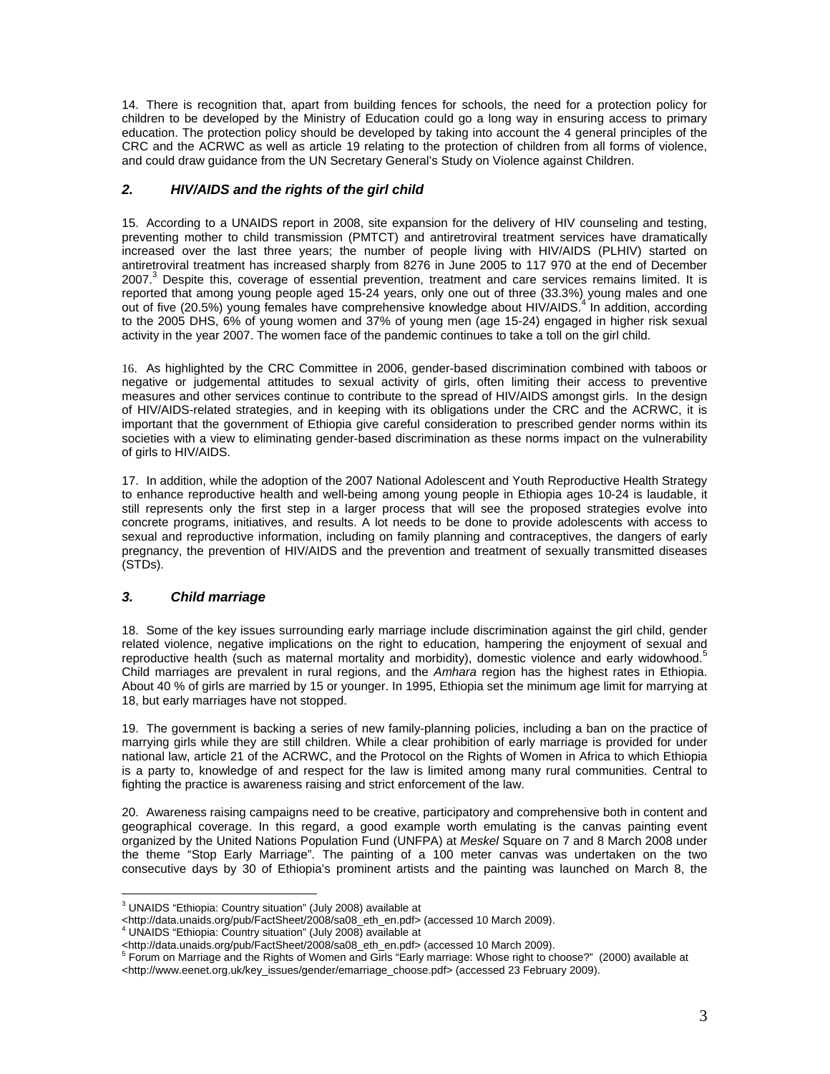14. There is recognition that, apart from building fences for schools, the need for a protection policy for children to be developed by the Ministry of Education could go a long way in ensuring access to primary education. The protection policy should be developed by taking into account the 4 general principles of the CRC and the ACRWC as well as article 19 relating to the protection of children from all forms of violence, and could draw guidance from the UN Secretary General's Study on Violence against Children.

#### *2. HIV/AIDS and the rights of the girl child*

15. According to a UNAIDS report in 2008, site expansion for the delivery of HIV counseling and testing, preventing mother to child transmission (PMTCT) and antiretroviral treatment services have dramatically increased over the last three years; the number of people living with HIV/AIDS (PLHIV) started on antiretroviral treatment has increased sharply from 8276 in June 2005 to 117 970 at the end of December 2007.<sup>3</sup> Despite this, coverage of essential prevention, treatment and care services remains limited. It is reported that among young people aged 15-24 years, only one out of three (33.3%) young males and one out of five (20.5%) young females have comprehensive knowledge about HIV/AIDS.<sup>4</sup> In addition, according to the 2005 DHS, 6% of young women and 37% of young men (age 15-24) engaged in higher risk sexual activity in the year 2007. The women face of the pandemic continues to take a toll on the girl child.

16. As highlighted by the CRC Committee in 2006, gender-based discrimination combined with taboos or negative or judgemental attitudes to sexual activity of girls, often limiting their access to preventive measures and other services continue to contribute to the spread of HIV/AIDS amongst girls. In the design of HIV/AIDS-related strategies, and in keeping with its obligations under the CRC and the ACRWC, it is important that the government of Ethiopia give careful consideration to prescribed gender norms within its societies with a view to eliminating gender-based discrimination as these norms impact on the vulnerability of girls to HIV/AIDS.

17. In addition, while the adoption of the 2007 National Adolescent and Youth Reproductive Health Strategy to enhance reproductive health and well-being among young people in Ethiopia ages 10-24 is laudable, it still represents only the first step in a larger process that will see the proposed strategies evolve into concrete programs, initiatives, and results. A lot needs to be done to provide adolescents with access to sexual and reproductive information, including on family planning and contraceptives, the dangers of early pregnancy, the prevention of HIV/AIDS and the prevention and treatment of sexually transmitted diseases (STDs).

## *3. Child marriage*

18. Some of the key issues surrounding early marriage include discrimination against the girl child, gender related violence, negative implications on the right to education, hampering the enjoyment of sexual and reproductive health (such as maternal mortality and morbidity), domestic violence and early widowhood.<sup>5</sup> Child marriages are prevalent in rural regions, and the *Amhara* region has the highest rates in Ethiopia. About 40 % of girls are married by 15 or younger. In 1995, Ethiopia set the minimum age limit for marrying at 18, but early marriages have not stopped.

19. The government is backing a series of new family-planning policies, including a ban on the practice of marrying girls while they are still children. While a clear prohibition of early marriage is provided for under national law, article 21 of the ACRWC, and the Protocol on the Rights of Women in Africa to which Ethiopia is a party to, knowledge of and respect for the law is limited among many rural communities. Central to fighting the practice is awareness raising and strict enforcement of the law.

20. Awareness raising campaigns need to be creative, participatory and comprehensive both in content and geographical coverage. In this regard, a good example worth emulating is the canvas painting event organized by the United Nations Population Fund (UNFPA) at *Meskel* Square on 7 and 8 March 2008 under the theme "Stop Early Marriage". The painting of a 100 meter canvas was undertaken on the two consecutive days by 30 of Ethiopia's prominent artists and the painting was launched on March 8, the

 $\overline{a}$ <sup>3</sup> UNAIDS "Ethiopia: Country situation" (July 2008) available at

<sup>&</sup>lt;http://data.unaids.org/pub/FactSheet/2008/sa08\_eth\_en.pdf> (accessed 10 March 2009).

<sup>4</sup> UNAIDS "Ethiopia: Country situation" (July 2008) available at

<sup>&</sup>lt;http://data.unaids.org/pub/FactSheet/2008/sa08\_eth\_en.pdf> (accessed 10 March 2009). 5 Forum on Marriage and the Rights of Women and Girls "Early marriage: Whose right to choose?" (2000) available at

<sup>&</sup>lt;http://www.eenet.org.uk/key\_issues/gender/emarriage\_choose.pdf> (accessed 23 February 2009).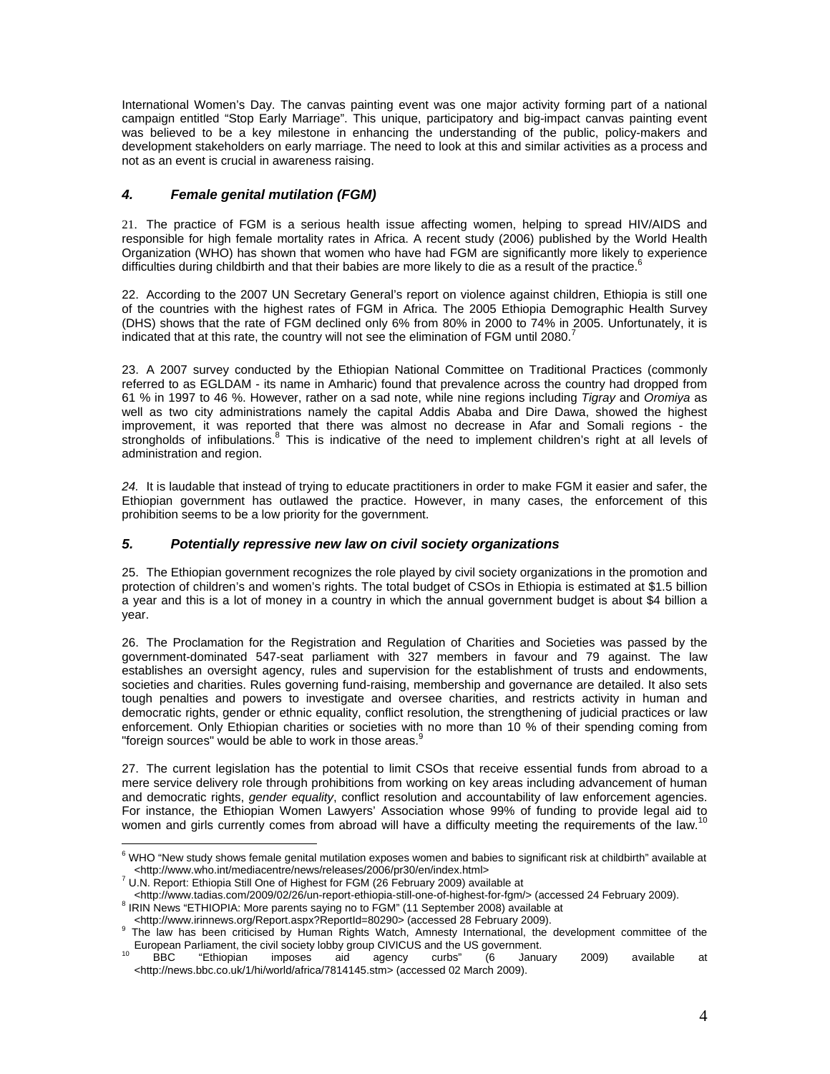International Women's Day. The canvas painting event was one major activity forming part of a national campaign entitled "Stop Early Marriage". This unique, participatory and big-impact canvas painting event was believed to be a key milestone in enhancing the understanding of the public, policy-makers and development stakeholders on early marriage. The need to look at this and similar activities as a process and not as an event is crucial in awareness raising.

## *4. Female genital mutilation (FGM)*

21. The practice of FGM is a serious health issue affecting women, helping to spread HIV/AIDS and responsible for high female mortality rates in Africa. A recent study (2006) published by the World Health Organization (WHO) has shown that women who have had FGM are significantly more likely to experience difficulties during childbirth and that their babies are more likely to die as a result of the practice.<sup>6</sup>

22. According to the 2007 UN Secretary General's report on violence against children, Ethiopia is still one of the countries with the highest rates of FGM in Africa. The 2005 Ethiopia Demographic Health Survey (DHS) shows that the rate of FGM declined only 6% from 80% in 2000 to 74% in 2005. Unfortunately, it is indicated that at this rate, the country will not see the elimination of FGM until 2080.<sup>7</sup>

23. A 2007 survey conducted by the Ethiopian National Committee on Traditional Practices (commonly referred to as EGLDAM - its name in Amharic) found that prevalence across the country had dropped from 61 % in 1997 to 46 %. However, rather on a sad note, while nine regions including *Tigray* and *Oromiya* as well as two city administrations namely the capital Addis Ababa and Dire Dawa, showed the highest improvement, it was reported that there was almost no decrease in Afar and Somali regions - the strongholds of infibulations.<sup>8</sup> This is indicative of the need to implement children's right at all levels of administration and region.

*24.* It is laudable that instead of trying to educate practitioners in order to make FGM it easier and safer, the Ethiopian government has outlawed the practice. However, in many cases, the enforcement of this prohibition seems to be a low priority for the government.

### *5. Potentially repressive new law on civil society organizations*

25. The Ethiopian government recognizes the role played by civil society organizations in the promotion and protection of children's and women's rights. The total budget of CSOs in Ethiopia is estimated at \$1.5 billion a year and this is a lot of money in a country in which the annual government budget is about \$4 billion a year.

26. The Proclamation for the Registration and Regulation of Charities and Societies was passed by the government-dominated 547-seat parliament with 327 members in favour and 79 against. The law establishes an oversight agency, rules and supervision for the establishment of trusts and endowments, societies and charities. Rules governing fund-raising, membership and governance are detailed. It also sets tough penalties and powers to investigate and oversee charities, and restricts activity in human and democratic rights, gender or ethnic equality, conflict resolution, the strengthening of judicial practices or law enforcement. Only Ethiopian charities or societies with no more than 10 % of their spending coming from "foreign sources" would be able to work in those areas."

27. The current legislation has the potential to limit CSOs that receive essential funds from abroad to a mere service delivery role through prohibitions from working on key areas including advancement of human and democratic rights, *gender equality*, conflict resolution and accountability of law enforcement agencies. For instance, the Ethiopian Women Lawyers' Association whose 99% of funding to provide legal aid to women and girls currently comes from abroad will have a difficulty meeting the requirements of the law.

 6 WHO "New study shows female genital mutilation exposes women and babies to significant risk at childbirth" available at

<sup>&</sup>lt;http://www.who.int/mediacentre/news/releases/2006/pr30/en/index.html> 7 U.N. Report: Ethiopia Still One of Highest for FGM (26 February 2009) available at

<sup>&</sup>lt;http://www.tadias.com/2009/02/26/un-report-ethiopia-still-one-of-highest-for-fgm/> (accessed 24 February 2009). <sup>8</sup> IRIN News "ETHIOPIA: More parents saying no to FGM" (11 September 2008) available at

<sup>&</sup>lt;http://www.irinnews.org/Report.aspx?ReportId=80290> (accessed 28 February 2009). 9

The law has been criticised by Human Rights Watch, Amnesty International, the development committee of the European Parliament, the civil society lobby group CIVICUS and the US government.<br><sup>10</sup> BBC "Ethiopian imposes aid agency curbs" (6 January 2009) available at

<sup>&</sup>lt;http://news.bbc.co.uk/1/hi/world/africa/7814145.stm> (accessed 02 March 2009).